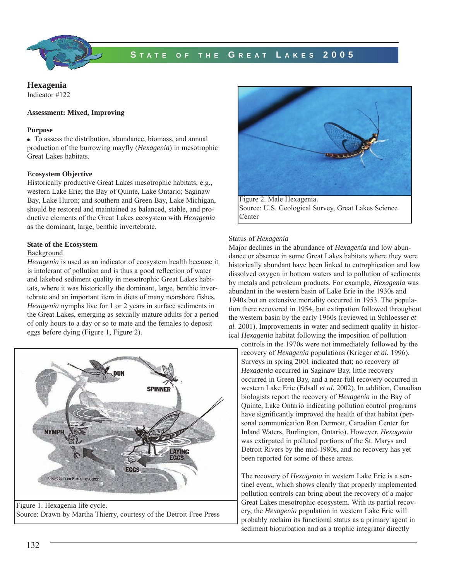

# **S TATE OF THE G REAT L AKES 2005**

#### **Hexagenia**  Indicator #122

#### **Assessment: Mixed, Improving**

#### **Purpose**

To assess the distribution, abundance, biomass, and annual production of the burrowing mayfly (*Hexagenia*) in mesotrophic Great Lakes habitats.

## **Ecosystem Objective**

Historically productive Great Lakes mesotrophic habitats, e.g., western Lake Erie; the Bay of Quinte, Lake Ontario; Saginaw Bay, Lake Huron; and southern and Green Bay, Lake Michigan, should be restored and maintained as balanced, stable, and productive elements of the Great Lakes ecosystem with *Hexagenia* as the dominant, large, benthic invertebrate.

# **State of the Ecosystem**

# Background

*Hexagenia* is used as an indicator of ecosystem health because it is intolerant of pollution and is thus a good reflection of water and lakebed sediment quality in mesotrophic Great Lakes habitats, where it was historically the dominant, large, benthic invertebrate and an important item in diets of many nearshore fishes. *Hexagenia* nymphs live for 1 or 2 years in surface sediments in the Great Lakes, emerging as sexually mature adults for a period of only hours to a day or so to mate and the females to deposit eggs before dying (Figure 1, Figure 2).



Source: Drawn by Martha Thierry, courtesy of the Detroit Free Press



Figure 2. Male Hexagenia. Source: U.S. Geological Survey, Great Lakes Science Center

# Status of *Hexagenia*

Major declines in the abundance of *Hexagenia* and low abundance or absence in some Great Lakes habitats where they were historically abundant have been linked to eutrophication and low dissolved oxygen in bottom waters and to pollution of sediments by metals and petroleum products. For example, *Hexagenia* was abundant in the western basin of Lake Erie in the 1930s and 1940s but an extensive mortality occurred in 1953. The population there recovered in 1954, but extirpation followed throughout the western basin by the early 1960s (reviewed in Schloesser *et al.* 2001). Improvements in water and sediment quality in historical *Hexagenia* habitat following the imposition of pollution

controls in the 1970s were not immediately followed by the recovery of *Hexagenia* populations (Krieger *et al.* 1996). Surveys in spring 2001 indicated that; no recovery of *Hexagenia* occurred in Saginaw Bay, little recovery occurred in Green Bay, and a near-full recovery occurred in western Lake Erie (Edsall *et al.* 2002). In addition, Canadian biologists report the recovery of *Hexagenia* in the Bay of Quinte, Lake Ontario indicating pollution control programs have significantly improved the health of that habitat (personal communication Ron Dermott, Canadian Center for Inland Waters, Burlington, Ontario). However, *Hexagenia* was extirpated in polluted portions of the St. Marys and Detroit Rivers by the mid-1980s, and no recovery has yet been reported for some of these areas.

The recovery of *Hexagenia* in western Lake Erie is a sentinel event, which shows clearly that properly implemented pollution controls can bring about the recovery of a major Great Lakes mesotrophic ecosystem. With its partial recovery, the *Hexagenia* population in western Lake Erie will probably reclaim its functional status as a primary agent in sediment bioturbation and as a trophic integrator directly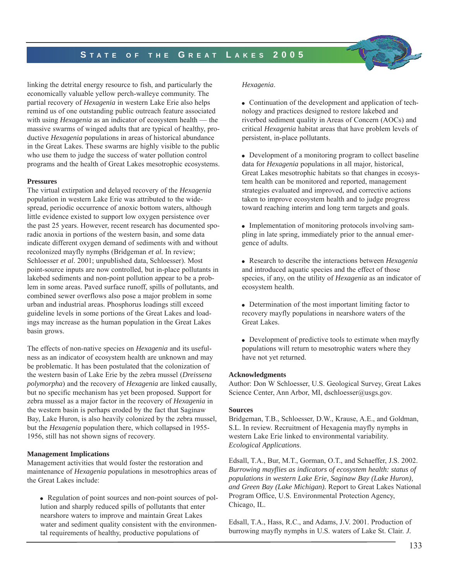# **S TATE OF THE G REAT L AKES 2005**

linking the detrital energy resource to fish, and particularly the economically valuable yellow perch-walleye community. The partial recovery of *Hexagenia* in western Lake Erie also helps remind us of one outstanding public outreach feature associated with using *Hexagenia* as an indicator of ecosystem health — the massive swarms of winged adults that are typical of healthy, productive *Hexagenia* populations in areas of historical abundance in the Great Lakes. These swarms are highly visible to the public who use them to judge the success of water pollution control programs and the health of Great Lakes mesotrophic ecosystems.

## **Pressures**

The virtual extirpation and delayed recovery of the *Hexagenia* population in western Lake Erie was attributed to the widespread, periodic occurrence of anoxic bottom waters, although little evidence existed to support low oxygen persistence over the past 25 years. However, recent research has documented sporadic anoxia in portions of the western basin, and some data indicate different oxygen demand of sediments with and without recolonized mayfly nymphs (Bridgeman *et al.* In review; Schloesser *et al*. 2001; unpublished data, Schloesser). Most point-source inputs are now controlled, but in-place pollutants in lakebed sediments and non-point pollution appear to be a problem in some areas. Paved surface runoff, spills of pollutants, and combined sewer overflows also pose a major problem in some urban and industrial areas. Phosphorus loadings still exceed guideline levels in some portions of the Great Lakes and loadings may increase as the human population in the Great Lakes basin grows.

The effects of non-native species on *Hexagenia* and its usefulness as an indicator of ecosystem health are unknown and may be problematic. It has been postulated that the colonization of the western basin of Lake Erie by the zebra mussel (*Dreissena polymorpha*) and the recovery of *Hexagenia* are linked causally, but no specific mechanism has yet been proposed. Support for zebra mussel as a major factor in the recovery of *Hexagenia* in the western basin is perhaps eroded by the fact that Saginaw Bay, Lake Huron, is also heavily colonized by the zebra mussel, but the *Hexagenia* population there, which collapsed in 1955- 1956, still has not shown signs of recovery.

## **Management Implications**

Management activities that would foster the restoration and maintenance of *Hexagenia* populations in mesotrophics areas of the Great Lakes include:

Regulation of point sources and non-point sources of pollution and sharply reduced spills of pollutants that enter nearshore waters to improve and maintain Great Lakes water and sediment quality consistent with the environmental requirements of healthy, productive populations of

# *Hexagenia*.

• Continuation of the development and application of technology and practices designed to restore lakebed and riverbed sediment quality in Areas of Concern (AOCs) and critical *Hexagenia* habitat areas that have problem levels of persistent, in-place pollutants.

Development of a monitoring program to collect baseline data for *Hexagenia* populations in all major, historical, Great Lakes mesotrophic habitats so that changes in ecosystem health can be monitored and reported, management strategies evaluated and improved, and corrective actions taken to improve ecosystem health and to judge progress toward reaching interim and long term targets and goals.

• Implementation of monitoring protocols involving sampling in late spring, immediately prior to the annual emergence of adults.

Research to describe the interactions between *Hexagenia* and introduced aquatic species and the effect of those species, if any, on the utility of *Hexagenia* as an indicator of ecosystem health.

• Determination of the most important limiting factor to recovery mayfly populations in nearshore waters of the Great Lakes.

• Development of predictive tools to estimate when mayfly populations will return to mesotrophic waters where they have not yet returned.

## **Acknowledgments**

Author: Don W Schloesser, U.S. Geological Survey, Great Lakes Science Center, Ann Arbor, MI, dschloesser@usgs.gov.

## **Sources**

Bridgeman, T.B., Schloesser, D.W., Krause, A.E., and Goldman, S.L. In review. Recruitment of Hexagenia mayfly nymphs in western Lake Erie linked to environmental variability. *Ecological Applications*.

Edsall, T.A., Bur, M.T., Gorman, O.T., and Schaeffer, J.S. 2002. *Burrowing mayflies as indicators of ecosystem health: status of populations in western Lake Erie, Saginaw Bay (Lake Huron), and Green Bay (Lake Michigan).* Report to Great Lakes National Program Office, U.S. Environmental Protection Agency, Chicago, IL.

Edsall, T.A., Hass, R.C., and Adams, J.V. 2001. Production of burrowing mayfly nymphs in U.S. waters of Lake St. Clair. *J.*